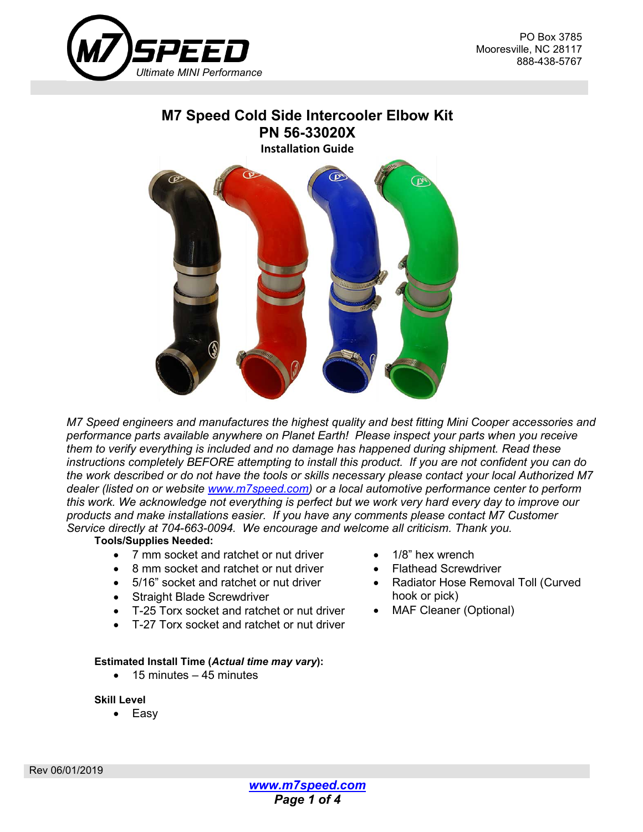

# **M7 Speed Cold Side Intercooler Elbow Kit PN 56-33020X Installation Guide**



*M7 Speed engineers and manufactures the highest quality and best fitting Mini Cooper accessories and performance parts available anywhere on Planet Earth! Please inspect your parts when you receive them to verify everything is included and no damage has happened during shipment. Read these instructions completely BEFORE attempting to install this product. If you are not confident you can do the work described or do not have the tools or skills necessary please contact your local Authorized M7 dealer (listed on or website [www.m7speed.com\)](http://www.m7speed.com/) or a local automotive performance center to perform this work. We acknowledge not everything is perfect but we work very hard every day to improve our products and make installations easier. If you have any comments please contact M7 Customer Service directly at 704-663-0094. We encourage and welcome all criticism. Thank you.*

#### **Tools/Supplies Needed:**

- 7 mm socket and ratchet or nut driver
- 8 mm socket and ratchet or nut driver
- 5/16" socket and ratchet or nut driver
- Straight Blade Screwdriver
- T-25 Torx socket and ratchet or nut driver
- T-27 Torx socket and ratchet or nut driver

#### **Estimated Install Time (***Actual time may vary***):**

 $\bullet$  15 minutes – 45 minutes

#### **Skill Level**

• Easy

- 1/8" hex wrench
- Flathead Screwdriver
- Radiator Hose Removal Toll (Curved hook or pick)
- MAF Cleaner (Optional)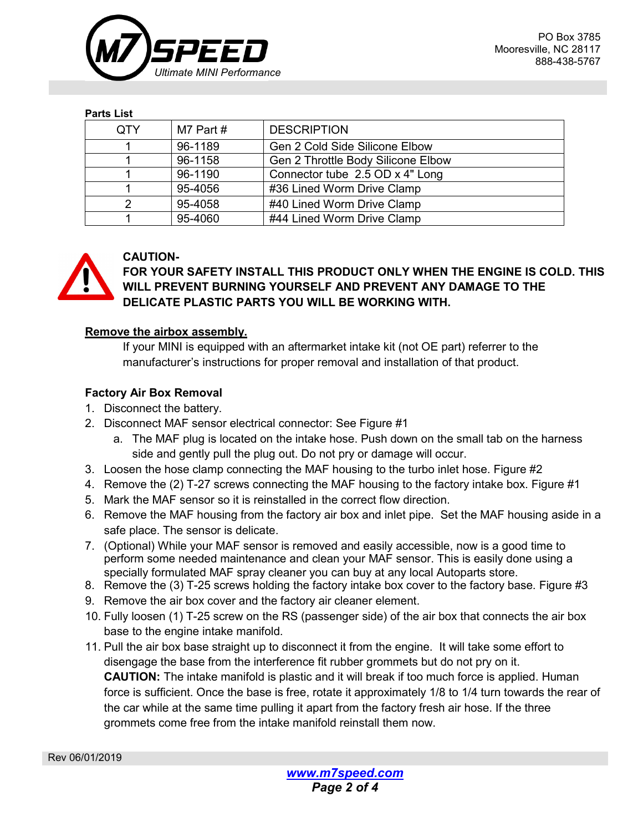

#### **Parts List**

| <b>OTY</b> | M7 Part # | <b>DESCRIPTION</b>                 |
|------------|-----------|------------------------------------|
|            | 96-1189   | Gen 2 Cold Side Silicone Elbow     |
|            | 96-1158   | Gen 2 Throttle Body Silicone Elbow |
|            | 96-1190   | Connector tube 2.5 OD x 4" Long    |
|            | 95-4056   | #36 Lined Worm Drive Clamp         |
| っ          | 95-4058   | #40 Lined Worm Drive Clamp         |
|            | 95-4060   | #44 Lined Worm Drive Clamp         |



## **CAUTION-**

**FOR YOUR SAFETY INSTALL THIS PRODUCT ONLY WHEN THE ENGINE IS COLD. THIS WILL PREVENT BURNING YOURSELF AND PREVENT ANY DAMAGE TO THE DELICATE PLASTIC PARTS YOU WILL BE WORKING WITH.**

## **Remove the airbox assembly.**

If your MINI is equipped with an aftermarket intake kit (not OE part) referrer to the manufacturer's instructions for proper removal and installation of that product.

## **Factory Air Box Removal**

- 1. Disconnect the battery.
- 2. Disconnect MAF sensor electrical connector: See Figure #1
	- a. The MAF plug is located on the intake hose. Push down on the small tab on the harness side and gently pull the plug out. Do not pry or damage will occur.
- 3. Loosen the hose clamp connecting the MAF housing to the turbo inlet hose. Figure #2
- 4. Remove the (2) T-27 screws connecting the MAF housing to the factory intake box. Figure #1
- 5. Mark the MAF sensor so it is reinstalled in the correct flow direction.
- 6. Remove the MAF housing from the factory air box and inlet pipe. Set the MAF housing aside in a safe place. The sensor is delicate.
- 7. (Optional) While your MAF sensor is removed and easily accessible, now is a good time to perform some needed maintenance and clean your MAF sensor. This is easily done using a specially formulated MAF spray cleaner you can buy at any local Autoparts store.
- 8. Remove the (3) T-25 screws holding the factory intake box cover to the factory base. Figure #3
- 9. Remove the air box cover and the factory air cleaner element.
- 10. Fully loosen (1) T-25 screw on the RS (passenger side) of the air box that connects the air box base to the engine intake manifold.
- 11. Pull the air box base straight up to disconnect it from the engine. It will take some effort to disengage the base from the interference fit rubber grommets but do not pry on it. **CAUTION:** The intake manifold is plastic and it will break if too much force is applied. Human force is sufficient. Once the base is free, rotate it approximately 1/8 to 1/4 turn towards the rear of the car while at the same time pulling it apart from the factory fresh air hose. If the three grommets come free from the intake manifold reinstall them now.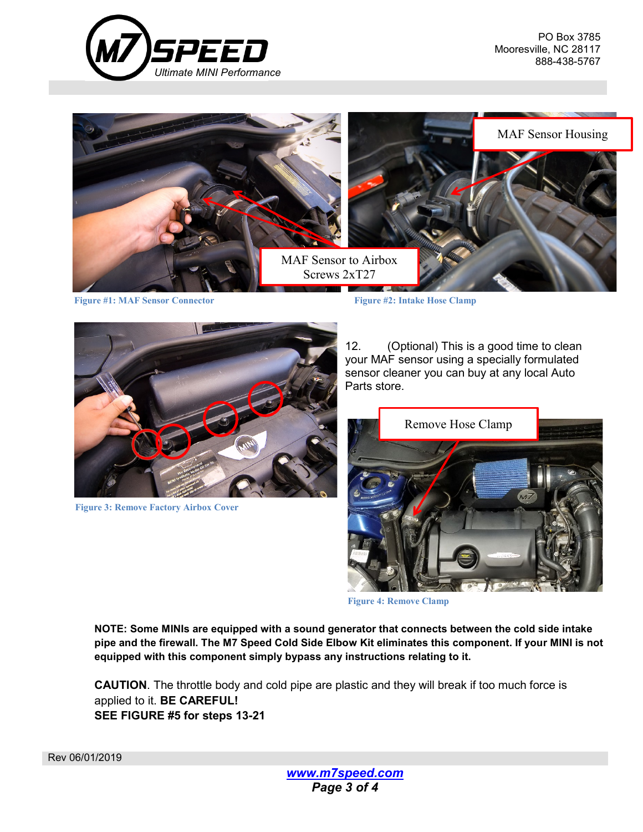



**Figure #1: MAF Sensor Connector Figure #2: Intake Hose Clamp**



**Figure 3: Remove Factory Airbox Cover**

12. (Optional) This is a good time to clean your MAF sensor using a specially formulated sensor cleaner you can buy at any local Auto Parts store.



**Figure 4: Remove Clamp**

**NOTE: Some MINIs are equipped with a sound generator that connects between the cold side intake pipe and the firewall. The M7 Speed Cold Side Elbow Kit eliminates this component. If your MINI is not equipped with this component simply bypass any instructions relating to it.**

**CAUTION**. The throttle body and cold pipe are plastic and they will break if too much force is applied to it. **BE CAREFUL! SEE FIGURE #5 for steps 13-21**